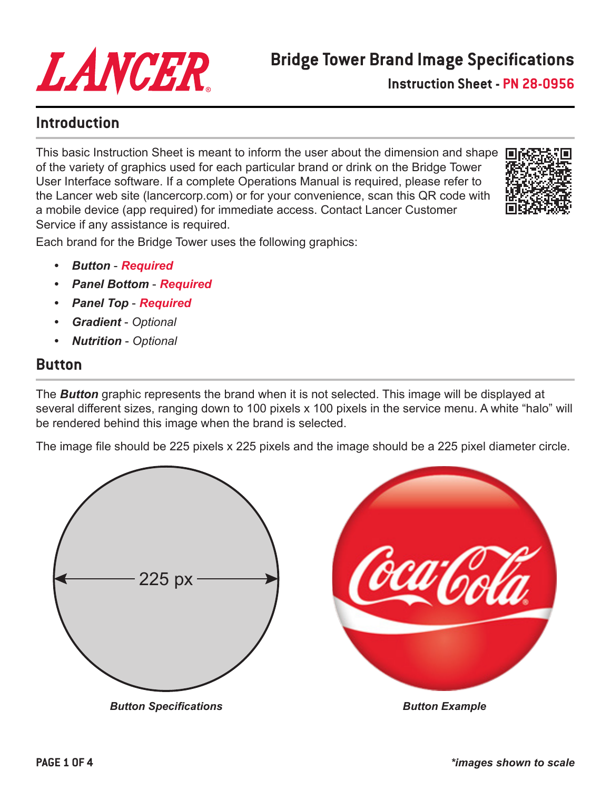

**Instruction Sheet - PN 28-0956**

### **Introduction**

This basic Instruction Sheet is meant to inform the user about the dimension and shape of the variety of graphics used for each particular brand or drink on the Bridge Tower User Interface software. If a complete Operations Manual is required, please refer to the Lancer web site (lancercorp.com) or for your convenience, scan this QR code with a mobile device (app required) for immediate access. Contact Lancer Customer Service if any assistance is required.



Each brand for the Bridge Tower uses the following graphics:

- *• Button Required*
- *• Panel Bottom Required*
- *• Panel Top Required*
- *• Gradient Optional*
- *• Nutrition Optional*

## **Button**

The *Button* graphic represents the brand when it is not selected. This image will be displayed at several different sizes, ranging down to 100 pixels x 100 pixels in the service menu. A white "halo" will be rendered behind this image when the brand is selected.

The image file should be 225 pixels x 225 pixels and the image should be a 225 pixel diameter circle.

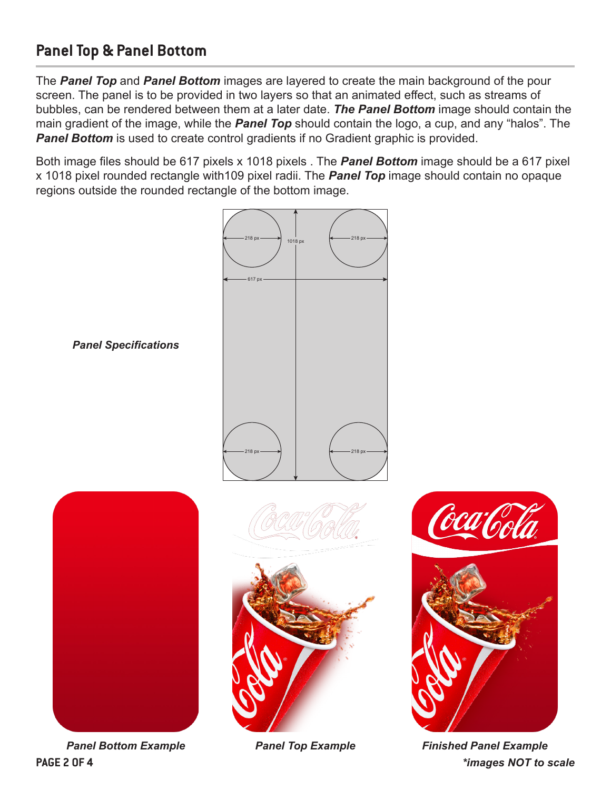# **Panel Top & Panel Bottom**

The *Panel Top* and *Panel Bottom* images are layered to create the main background of the pour screen. The panel is to be provided in two layers so that an animated effect, such as streams of bubbles, can be rendered between them at a later date. *The Panel Bottom* image should contain the main gradient of the image, while the *Panel Top* should contain the logo, a cup, and any "halos". The **Panel Bottom** is used to create control gradients if no Gradient graphic is provided.

Both image files should be 617 pixels x 1018 pixels . The *Panel Bottom* image should be a 617 pixel x 1018 pixel rounded rectangle with109 pixel radii. The *Panel Top* image should contain no opaque regions outside the rounded rectangle of the bottom image.



*Panel Bottom Example Panel Top Example*

*Finished Panel Example* **PAGE 2 OF 4** *\*images NOT to scale*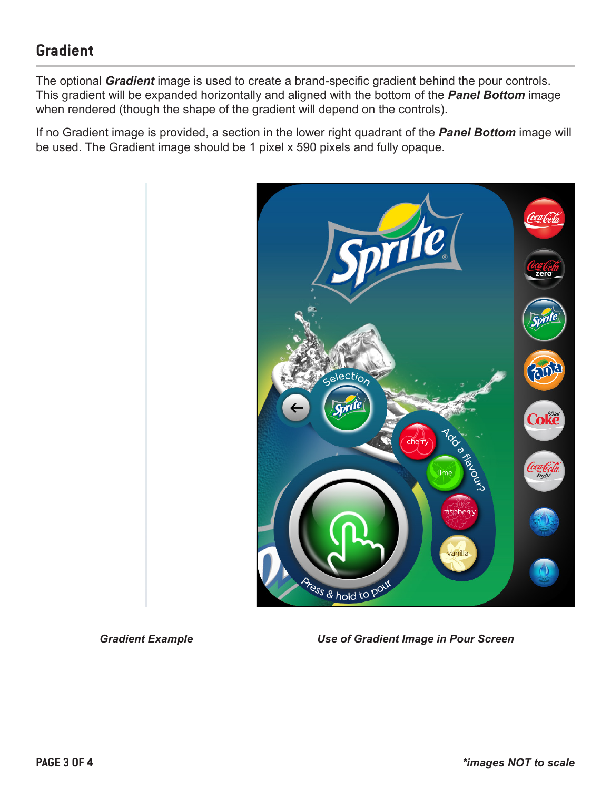# **Gradient**

The optional *Gradient* image is used to create a brand-specific gradient behind the pour controls. This gradient will be expanded horizontally and aligned with the bottom of the *Panel Bottom* image when rendered (though the shape of the gradient will depend on the controls).

If no Gradient image is provided, a section in the lower right quadrant of the *Panel Bottom* image will be used. The Gradient image should be 1 pixel x 590 pixels and fully opaque.



*Gradient Example Use of Gradient Image in Pour Screen*